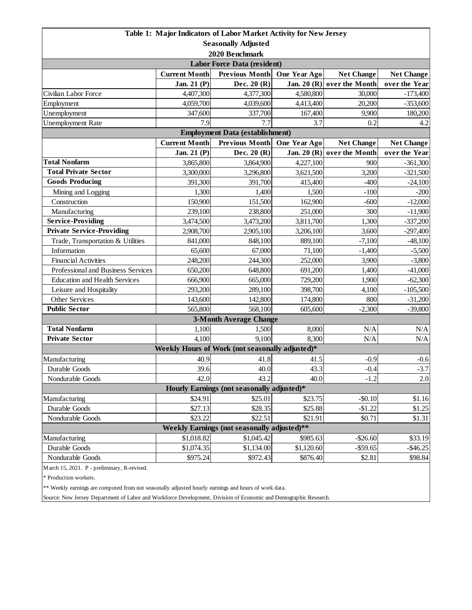| Table 1: Major Indicators of Labor Market Activity for New Jersey |                      |                                                 |               |                            |                   |  |  |  |
|-------------------------------------------------------------------|----------------------|-------------------------------------------------|---------------|----------------------------|-------------------|--|--|--|
| <b>Seasonally Adjusted</b>                                        |                      |                                                 |               |                            |                   |  |  |  |
| 2020 Benchmark                                                    |                      |                                                 |               |                            |                   |  |  |  |
| <b>Labor Force Data (resident)</b>                                |                      |                                                 |               |                            |                   |  |  |  |
|                                                                   | <b>Current Month</b> | <b>Previous Month</b>                           | One Year Ago  | <b>Net Change</b>          | <b>Net Change</b> |  |  |  |
|                                                                   | Jan. 21 (P)          | Dec. $20(R)$                                    | Jan. 20 $(R)$ | over the Month             | over the Year     |  |  |  |
| Civilian Labor Force                                              | 4,407,300            | 4,377,300                                       | 4,580,800     | 30,000                     | $-173,400$        |  |  |  |
| Employment                                                        | 4,059,700            | 4,039,600                                       | 4,413,400     | 20,200                     | $-353,600$        |  |  |  |
| Unemployment                                                      | 347,600              | 337,700                                         | 167,400       | 9,900                      | 180,200           |  |  |  |
| <b>Unemployment Rate</b>                                          | 7.9                  | 7.7                                             | 3.7           | 0.2                        | 4.2               |  |  |  |
| <b>Employment Data (establishment)</b>                            |                      |                                                 |               |                            |                   |  |  |  |
|                                                                   | <b>Current Month</b> | <b>Previous Month</b>                           | One Year Ago  | <b>Net Change</b>          | <b>Net Change</b> |  |  |  |
|                                                                   | Jan. 21 (P)          | Dec. 20 (R)                                     |               | Jan. 20 (R) over the Month | over the Year     |  |  |  |
| <b>Total Nonfarm</b>                                              | 3,865,800            | 3,864,900                                       | 4,227,100     | 900                        | $-361,300$        |  |  |  |
| <b>Total Private Sector</b>                                       | 3,300,000            | 3,296,800                                       | 3,621,500     | 3,200                      | $-321,500$        |  |  |  |
| <b>Goods Producing</b>                                            | 391,300              | 391,700                                         | 415,400       | $-400$                     | $-24,100$         |  |  |  |
| Mining and Logging                                                | 1,300                | 1,400                                           | 1,500         | $-100$                     | $-200$            |  |  |  |
| Construction                                                      | 150,900              | 151,500                                         | 162,900       | $-600$                     | $-12,000$         |  |  |  |
| Manufacturing                                                     | 239,100              | 238,800                                         | 251,000       | 300                        | $-11,900$         |  |  |  |
| <b>Service-Providing</b>                                          | 3,474,500            | 3,473,200                                       | 3,811,700     | 1,300                      | $-337,200$        |  |  |  |
| <b>Private Service-Providing</b>                                  | 2,908,700            | 2,905,100                                       | 3,206,100     | 3,600                      | $-297,400$        |  |  |  |
| Trade, Transportation & Utilities                                 | 841,000              | 848,100                                         | 889,100       | $-7,100$                   | $-48,100$         |  |  |  |
| Information                                                       | 65,600               | 67,000                                          | 71,100        | $-1,400$                   | $-5,500$          |  |  |  |
| <b>Financial Activities</b>                                       | 248,200              | 244,300                                         | 252,000       | 3,900                      | $-3,800$          |  |  |  |
| Professional and Business Services                                | 650,200              | 648,800                                         | 691,200       | 1,400                      | $-41,000$         |  |  |  |
| <b>Education and Health Services</b>                              | 666,900              | 665,000                                         | 729,200       | 1,900                      | $-62,300$         |  |  |  |
| Leisure and Hospitality                                           | 293,200              | 289,100                                         | 398,700       | 4,100                      | $-105,500$        |  |  |  |
| <b>Other Services</b>                                             | 143,600              | 142,800                                         | 174,800       | 800                        | $-31,200$         |  |  |  |
| <b>Public Sector</b>                                              | 565,800              | 568,100                                         | 605,600       | $-2,300$                   | $-39,800$         |  |  |  |
|                                                                   |                      | <b>3-Month Average Change</b>                   |               |                            |                   |  |  |  |
| <b>Total Nonfarm</b>                                              | 1,100                | 1,500                                           | 8,000         | N/A                        | N/A               |  |  |  |
| <b>Private Sector</b>                                             | 4,100                | 9,100                                           | 8,300         | N/A                        | $\rm N/A$         |  |  |  |
|                                                                   |                      | Weekly Hours of Work (not seasonally adjusted)* |               |                            |                   |  |  |  |
| Manufacturing                                                     | 40.9                 | 41.8                                            | 41.5          | $-0.9$                     | $-0.6$            |  |  |  |
| Durable Goods                                                     | 39.6                 | 40.0                                            | 43.3          | $-0.4$                     | $-3.7$            |  |  |  |
| Nondurable Goods                                                  | 42.0                 | 43.2                                            | 40.0          | $-1.2$                     | 2.0               |  |  |  |
| Hourly Earnings (not seasonally adjusted)*                        |                      |                                                 |               |                            |                   |  |  |  |
| Manufacturing                                                     | \$24.91              | \$25.01                                         | \$23.75       | $-$0.10$                   | \$1.16            |  |  |  |
| Durable Goods                                                     | \$27.13              | \$28.35                                         | \$25.88       | $-$1.22$                   | \$1.25            |  |  |  |
| Nondurable Goods                                                  | \$23.22              | \$22.51                                         | \$21.91       | \$0.71                     | \$1.31            |  |  |  |
| Weekly Earnings (not seasonally adjusted)**                       |                      |                                                 |               |                            |                   |  |  |  |
| Manufacturing                                                     | \$1,018.82           | \$1,045.42                                      | \$985.63      | $-$ \$26.60                | \$33.19           |  |  |  |
| Durable Goods                                                     | \$1,074.35           | \$1,134.00                                      | \$1,120.60    | $-$ \$59.65                | $-$46.25$         |  |  |  |
| Nondurable Goods                                                  | \$975.24             | \$972.43                                        | \$876.40      | \$2.81                     | \$98.84           |  |  |  |
| March 15, 2021. P - preliminary, R-revised.                       |                      |                                                 |               |                            |                   |  |  |  |

\* Production workers.

\*\* Weekly earnings are computed from not seasonally adjusted hourly earnings and hours of work data.

Source: New Jersey Department of Labor and Workforce Development, Division of Economic and Demographic Research.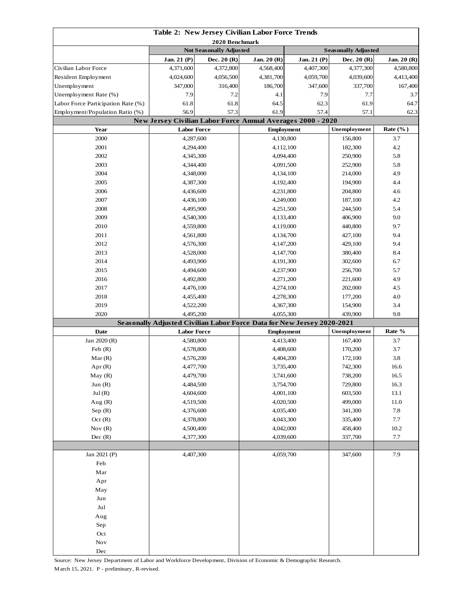| Table 2: New Jersey Civilian Labor Force Trends |                                                                    |              |                                                                        |                            |                    |              |  |
|-------------------------------------------------|--------------------------------------------------------------------|--------------|------------------------------------------------------------------------|----------------------------|--------------------|--------------|--|
| 2020 Benchmark                                  |                                                                    |              |                                                                        |                            |                    |              |  |
|                                                 | <b>Not Seasonally Adjusted</b>                                     |              |                                                                        | <b>Seasonally Adjusted</b> |                    |              |  |
|                                                 | Jan. 21 (P)                                                        | Dec. $20(R)$ | Jan. 20 (R)                                                            | Jan. 21 (P)                | Dec. $20(R)$       | Jan. 20 (R)  |  |
| Civilian Labor Force                            | 4,371,600                                                          | 4,372,800    | 4,568,400                                                              | 4,407,300                  | 4,377,300          | 4,580,800    |  |
| Resident Employment                             | 4,024,600                                                          | 4,056,500    | 4,381,700                                                              | 4,059,700                  | 4,039,600          | 4,413,400    |  |
| Unemployment                                    | 347,000                                                            | 316,400      | 186,700                                                                | 347,600                    | 337,700            | 167,400      |  |
| Unemployment Rate (%)                           | 7.9                                                                | 7.2          | 4.1                                                                    | 7.9                        | 7.7                | 3.7          |  |
| Labor Force Participation Rate (%)              | 61.8                                                               | 61.8         | 64.5                                                                   | 62.3                       |                    | 64.7         |  |
| Employment/Population Ratio (%)                 | 56.9<br>57.3                                                       |              | 61.9<br>57.4                                                           |                            | 57.1<br>62.3       |              |  |
|                                                 | <b>New Jersey Civilian Labor Force Annual Averages 2000 - 2020</b> |              |                                                                        |                            | Unemployment       |              |  |
| Year                                            | <b>Labor Force</b>                                                 |              |                                                                        | <b>Employment</b>          |                    | Rate $(\%$ ) |  |
| 2000                                            | 4,287,600                                                          |              | 4,130,800                                                              |                            | 156,800            | 3.7          |  |
| 2001                                            | 4,294,400                                                          |              | 4,112,100                                                              |                            | 182,300            | 4.2          |  |
| 2002                                            | 4,345,300                                                          |              | 4,094,400                                                              |                            | 250,900            | 5.8          |  |
| 2003                                            | 4,344,400                                                          |              | 4,091,500                                                              |                            | 252,900            | 5.8          |  |
| 2004                                            | 4,348,000                                                          |              | 4,134,100                                                              |                            | 214,000            | 4.9          |  |
| 2005                                            | 4,387,300                                                          |              | 4,192,400                                                              |                            | 194,900<br>204,800 | 4.4          |  |
| 2006<br>2007                                    | 4,436,600                                                          |              |                                                                        | 4,231,800<br>4,249,000     |                    | 4.6<br>4.2   |  |
|                                                 | 4,436,100                                                          |              |                                                                        |                            | 187,100            |              |  |
| 2008                                            | 4,495,900                                                          |              | 4,251,500                                                              |                            | 244,500            | 5.4          |  |
| 2009<br>2010                                    | 4,540,300                                                          |              | 4,133,400                                                              |                            | 406,900            | 9.0<br>9.7   |  |
|                                                 | 4,559,800                                                          |              | 4,119,000                                                              |                            | 440,800            | 9.4          |  |
| 2011<br>2012                                    | 4,561,800                                                          |              | 4,134,700                                                              |                            | 427,100<br>429,100 | 9.4          |  |
| 2013                                            | 4,576,300                                                          |              | 4,147,200                                                              |                            | 380,400            | 8.4          |  |
| 2014                                            | 4,528,000                                                          |              |                                                                        | 4,147,700                  |                    | 6.7          |  |
| 2015                                            | 4,493,900                                                          |              | 4,191,300                                                              |                            | 302,600<br>256,700 | 5.7          |  |
| 2016                                            | 4,494,600                                                          |              | 4,237,900<br>4,271,200                                                 |                            | 221,600            | 4.9          |  |
| 2017                                            | 4,492,800<br>4,476,100                                             |              | 4,274,100                                                              |                            | 202,000            | 4.5          |  |
| 2018                                            | 4,455,400                                                          |              | 4,278,300                                                              |                            | 177,200            | 4.0          |  |
| 2019                                            | 4,522,200                                                          |              |                                                                        |                            | 154,900            | 3.4          |  |
| 2020                                            | 4,495,200                                                          |              | 4,367,300<br>4,055,300                                                 |                            | 439,900            | 9.8          |  |
|                                                 |                                                                    |              | Seasonally Adjusted Civilian Labor Force Data for New Jersey 2020-2021 |                            |                    |              |  |
| <b>Date</b>                                     | <b>Labor Force</b>                                                 |              | <b>Employment</b>                                                      |                            | Unemployment       | Rate %       |  |
| Jan 2020 (R)                                    | 4,580,800                                                          |              | 4,413,400                                                              |                            | 167,400            | 3.7          |  |
| Feb(R)                                          | 4,578,800                                                          |              | 4,408,600                                                              |                            | 170,200            | 3.7          |  |
| Mar(R)                                          | 4,576,200                                                          |              | 4,404,200                                                              |                            | 172,100            | 3.8          |  |
| Apr(R)                                          | 4,477,700                                                          |              | 3,735,400                                                              |                            | 742,300            | 16.6         |  |
| May(R)                                          | 4,479,700                                                          |              | 3,741,600                                                              |                            | 738,200            | 16.5         |  |
| Jun $(R)$                                       | 4,484,500                                                          |              | 3,754,700                                                              |                            | 729,800            | 16.3         |  |
| Jul(R)                                          | 4,604,600                                                          |              | 4,001,100                                                              |                            | 603,500            | 13.1         |  |
| Aug $(R)$                                       | 4,519,500                                                          |              | 4,020,500                                                              |                            | 499,000            | 11.0         |  |
| Sep $(R)$                                       | 4,376,600                                                          |              | 4,035,400                                                              |                            | 341,300            | 7.8          |  |
| Oct(R)                                          | 4,378,800                                                          |              | 4,043,300                                                              |                            | 335,400            | $7.7\,$      |  |
| Nov $(R)$                                       | 4,500,400                                                          |              | 4,042,000                                                              |                            | 458,400            | 10.2         |  |
| Dec(R)                                          | 4,377,300                                                          |              | 4,039,600                                                              |                            | 337,700            | 7.7          |  |
|                                                 |                                                                    |              |                                                                        |                            |                    |              |  |
| Jan 2021 (P)                                    | 4,407,300                                                          |              | 4,059,700                                                              |                            | 347,600            | 7.9          |  |
| Feb                                             |                                                                    |              |                                                                        |                            |                    |              |  |
| Mar                                             |                                                                    |              |                                                                        |                            |                    |              |  |
| Apr                                             |                                                                    |              |                                                                        |                            |                    |              |  |
| May                                             |                                                                    |              |                                                                        |                            |                    |              |  |
| Jun                                             |                                                                    |              |                                                                        |                            |                    |              |  |
| Jul                                             |                                                                    |              |                                                                        |                            |                    |              |  |
| Aug                                             |                                                                    |              |                                                                        |                            |                    |              |  |
| Sep                                             |                                                                    |              |                                                                        |                            |                    |              |  |
| Oct                                             |                                                                    |              |                                                                        |                            |                    |              |  |
| Nov                                             |                                                                    |              |                                                                        |                            |                    |              |  |
| Dec                                             |                                                                    |              |                                                                        |                            |                    |              |  |

Source: New Jersey Department of Labor and Workforce Development, Division of Economic & Demographic Research. March 15, 2021. P - preliminary, R-revised.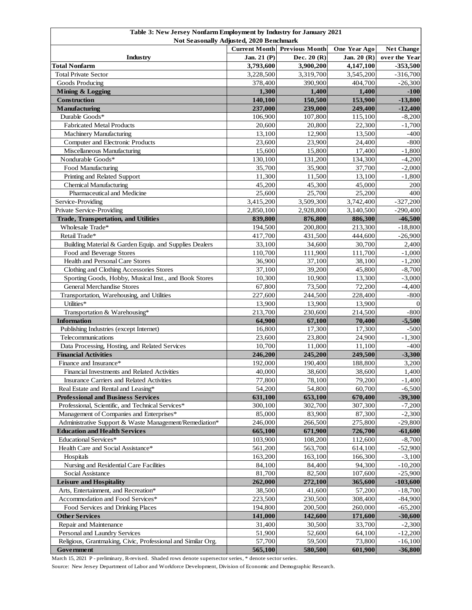| Table 3: New Jersey Nonfarm Employment by Industry for January 2021<br>Not Seasonally Adjusted, 2020 Benchmark |                      |                       |                                   |                       |  |  |
|----------------------------------------------------------------------------------------------------------------|----------------------|-----------------------|-----------------------------------|-----------------------|--|--|
|                                                                                                                | <b>Current Month</b> | <b>Previous Month</b> | One Year Ago<br><b>Net Change</b> |                       |  |  |
| Industry                                                                                                       | Jan. 21 (P)          | Dec. $20(R)$          | Jan. 20 (R)                       | over the Year         |  |  |
| <b>Total Nonfarm</b>                                                                                           | 3,793,600            | 3,900,200             | 4,147,100                         | $-353,500$            |  |  |
| <b>Total Private Sector</b>                                                                                    | 3,228,500            | 3,319,700             | 3,545,200                         | $-316,700$            |  |  |
| Goods Producing                                                                                                | 378,400              | 390,900               | 404,700                           | $-26,300$             |  |  |
| <b>Mining &amp; Logging</b>                                                                                    | 1,300                | 1,400                 | 1,400                             | $-100$                |  |  |
| Construction                                                                                                   | 140,100              | 150,500               | 153,900                           | $-13,800$             |  |  |
| Manufacturing                                                                                                  | 237,000              | 239,000               | 249,400                           | $-12,400$             |  |  |
| Durable Goods*                                                                                                 | 106,900              | 107,800               | 115,100                           | $-8,200$              |  |  |
| <b>Fabricated Metal Products</b>                                                                               | 20,600               | 20,800                | 22,300                            | $-1,700$              |  |  |
| Machinery Manufacturing                                                                                        | 13,100               | 12,900                | 13,500                            | $-400$                |  |  |
| Computer and Electronic Products                                                                               | 23,600               | 23,900                | 24,400                            | $-800$                |  |  |
| Miscellaneous Manufacturing                                                                                    | 15,600               | 15,800                | 17,400                            | $-1,800$              |  |  |
| Nondurable Goods*                                                                                              | 130,100              | 131,200               | 134,300                           | $-4,200$              |  |  |
| Food Manufacturing                                                                                             | 35,700<br>11,300     | 35,900<br>11,500      | 37,700<br>13,100                  | $-2,000$              |  |  |
| Printing and Related Support<br><b>Chemical Manufacturing</b>                                                  | 45,200               | 45,300                | 45,000                            | $-1,800$<br>200       |  |  |
| Pharmaceutical and Medicine                                                                                    | 25,600               | 25,700                | 25,200                            | 400                   |  |  |
| Service-Providing                                                                                              | 3,415,200            | 3,509,300             | 3,742,400                         | $-327,200$            |  |  |
| Private Service-Providing                                                                                      | 2,850,100            | 2,928,800             | 3,140,500                         | $-290,400$            |  |  |
| <b>Trade, Transportation, and Utilities</b>                                                                    | 839,800              | 876,800               | 886,300                           | $-46,500$             |  |  |
| Wholesale Trade*                                                                                               | 194,500              | 200,800               | 213,300                           | $-18,800$             |  |  |
| Retail Trade*                                                                                                  | 417,700              | 431,500               | 444,600                           | $-26,900$             |  |  |
| Building Material & Garden Equip. and Supplies Dealers                                                         | 33,100               | 34,600                | 30,700                            | 2,400                 |  |  |
| Food and Beverage Stores                                                                                       | 110,700              | 111,900               | 111,700                           | $-1,000$              |  |  |
| Health and Personal Care Stores                                                                                | 36,900               | 37,100                | 38,100                            | $-1,200$              |  |  |
| Clothing and Clothing Accessories Stores                                                                       | 37,100               | 39,200                | 45,800                            | $-8,700$              |  |  |
| Sporting Goods, Hobby, Musical Inst., and Book Stores                                                          | 10,300               | 10,900                | 13,300                            | $-3,000$              |  |  |
| <b>General Merchandise Stores</b>                                                                              | 67,800               | 73,500                | 72,200                            | $-4,400$              |  |  |
| Transportation, Warehousing, and Utilities                                                                     | 227,600              | 244,500               | 228,400                           | $-800$                |  |  |
| Utilities*                                                                                                     | 13,900               | 13,900                | 13,900                            | $\Omega$              |  |  |
| Transportation & Warehousing*                                                                                  | 213,700              | 230,600               | 214,500                           | $-800$                |  |  |
| <b>Information</b>                                                                                             | 64,900               | 67,100                | 70,400                            | $-5,500$              |  |  |
| Publishing Industries (except Internet)                                                                        | 16,800               | 17,300                | 17,300                            | $-500$                |  |  |
| Telecommunications                                                                                             | 23,600               | 23,800                | 24,900                            | $-1,300$              |  |  |
| Data Processing, Hosting, and Related Services                                                                 | 10,700               | 11,000                | 11,100                            | $-400$                |  |  |
| <b>Financial Activities</b>                                                                                    | 246,200              | 245,200               | 249,500                           | $-3,300$              |  |  |
| Finance and Insurance*                                                                                         | 192,000              | 190,400               | 188,800                           | 3,200                 |  |  |
| Financial Investments and Related Activities                                                                   | 40,000               | 38,600                | 38,600                            | 1,400                 |  |  |
| Insurance Carriers and Related Activities                                                                      | 77,800               | 78,100                | 79,200                            | $-1,400$              |  |  |
| Real Estate and Rental and Leasing*                                                                            | 54,200               | 54,800                | 60,700                            | $-6,500$              |  |  |
| <b>Professional and Business Services</b>                                                                      | 631,100              | 653,100               | 670,400                           | $-39,300$             |  |  |
| Professional, Scientific, and Technical Services*                                                              | 300,100              | 302,700               | 307,300                           | $-7,200$              |  |  |
| Management of Companies and Enterprises*<br>Administrative Support & Waste Management/Remediation*             | 85,000<br>246,000    | 83,900<br>266,500     | 87,300<br>275,800                 | $-2,300$<br>$-29,800$ |  |  |
| <b>Education and Health Services</b>                                                                           | 665,100              | 671,900               | 726,700                           | $-61,600$             |  |  |
| <b>Educational Services*</b>                                                                                   | 103,900              | 108,200               | 112,600                           | $-8,700$              |  |  |
| Health Care and Social Assistance*                                                                             | 561,200              | 563,700               | 614,100                           | $-52,900$             |  |  |
| Hospitals                                                                                                      | 163,200              | 163,100               | 166,300                           | $-3,100$              |  |  |
| Nursing and Residential Care Facilities                                                                        | 84,100               | 84,400                | 94,300                            | $-10,200$             |  |  |
| Social Assistance                                                                                              | 81,700               | 82,500                | 107,600                           | $-25,900$             |  |  |
| <b>Leisure and Hospitality</b>                                                                                 | 262,000              | 272,100               | 365,600                           | $-103,600$            |  |  |
| Arts, Entertainment, and Recreation*                                                                           | 38,500               | 41,600                | 57,200                            | $-18,700$             |  |  |
| Accommodation and Food Services*                                                                               | 223,500              | 230,500               | 308,400                           | $-84,900$             |  |  |
| Food Services and Drinking Places                                                                              | 194,800              | 200,500               | 260,000                           | $-65,200$             |  |  |
| <b>Other Services</b>                                                                                          | 141,000              | 142,600               | 171,600                           | $-30,600$             |  |  |
| Repair and Maintenance                                                                                         | 31,400               | 30,500                | 33,700                            | $-2,300$              |  |  |
| Personal and Laundry Services                                                                                  | 51,900               | 52,600                | 64,100                            | $-12,200$             |  |  |
| Religious, Grantmaking, Civic, Professional and Similar Org.                                                   | 57,700               | 59,500                | 73,800                            | $-16,100$             |  |  |
| Government                                                                                                     | 565,100              | 580,500               | 601,900                           | $-36,800$             |  |  |

March 15, 2021 P - preliminary, R-revised. Shaded rows denote supersector series, \* denote sector series.

Source: New Jersey Department of Labor and Workforce Development, Division of Economic and Demographic Research.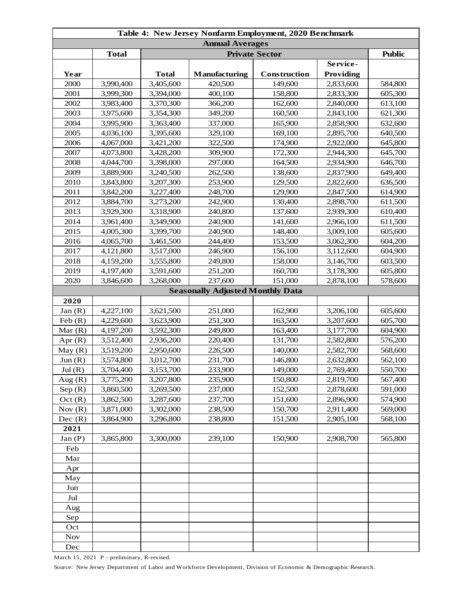| Table 4: New Jersey Nonfarm Employment, 2020 Benchmark |              |              |                                         |              |                  |         |  |
|--------------------------------------------------------|--------------|--------------|-----------------------------------------|--------------|------------------|---------|--|
| <b>Annual Averages</b><br><b>Private Sector</b>        |              |              |                                         |              |                  |         |  |
|                                                        | <b>Total</b> |              | <b>Public</b>                           |              |                  |         |  |
|                                                        |              |              |                                         |              | Service-         |         |  |
| Year                                                   |              | <b>Total</b> | <b>Manufacturing</b>                    | Construction | <b>Providing</b> |         |  |
| 2000                                                   | 3,990,400    | 3,405,600    | 420,500                                 | 149,600      | 2,833,600        | 584,800 |  |
| 2001                                                   | 3,999,300    | 3,394,000    | 400,100                                 | 158,800      | 2,833,300        | 605,300 |  |
| 2002                                                   | 3,983,400    | 3,370,300    | 366,200                                 | 162,600      | 2,840,000        | 613,100 |  |
| 2003                                                   | 3,975,600    | 3,354,300    | 349,200                                 | 160,500      | 2,843,100        | 621,300 |  |
| 2004                                                   | 3,995,900    | 3,363,400    | 337,000                                 | 165,900      | 2,858,900        | 632,600 |  |
| 2005                                                   | 4,036,100    | 3,395,600    | 329,100                                 | 169,100      | 2,895,700        | 640,500 |  |
| 2006                                                   | 4,067,000    | 3,421,200    | 322,500                                 | 174,900      | 2,922,000        | 645,800 |  |
| 2007                                                   | 4,073,800    | 3,428,200    | 309,900                                 | 172,300      | 2,944,300        | 645,700 |  |
| 2008                                                   | 4,044,700    | 3,398,000    | 297,000                                 | 164,500      | 2,934,900        | 646,700 |  |
| 2009                                                   | 3,889,900    | 3,240,500    | 262,500                                 | 138,600      | 2,837,900        | 649,400 |  |
| 2010                                                   | 3,843,800    | 3,207,300    | 253,900                                 | 129,500      | 2,822,600        | 636,500 |  |
| 2011                                                   | 3,842,200    | 3,227,400    | 248,700                                 | 129,900      | 2,847,500        | 614,900 |  |
| 2012                                                   | 3,884,700    | 3,273,200    | 242,900                                 | 130,400      | 2,898,700        | 611,500 |  |
| 2013                                                   | 3,929,300    | 3,318,900    | 240,800                                 | 137,600      | 2,939,300        | 610,400 |  |
| 2014                                                   | 3,961,400    | 3,349,900    | 240,900                                 | 141,600      | 2,966,100        | 611,500 |  |
| 2015                                                   | 4,005,300    | 3,399,700    | 240,900                                 | 148,400      | 3,009,100        | 605,600 |  |
| 2016                                                   | 4,065,700    | 3,461,500    | 244,400                                 | 153,500      | 3,062,300        | 604,200 |  |
| 2017                                                   | 4,121,800    | 3,517,000    | 246,900                                 | 156,100      | 3,112,600        | 604,900 |  |
| 2018                                                   | 4,159,200    | 3,555,800    | 249,800                                 | 158,000      | 3,146,700        | 603,500 |  |
| 2019                                                   | 4,197,400    | 3,591,600    | 251,200                                 | 160,700      | 3,178,300        | 605,800 |  |
| 2020                                                   | 3,846,600    | 3,268,000    | 237,600                                 | 151,000      | 2,878,100        | 578,600 |  |
|                                                        |              |              | <b>Seasonally Adjusted Monthly Data</b> |              |                  |         |  |
| 2020                                                   |              |              |                                         |              |                  |         |  |
| Jan(R)                                                 | 4,227,100    | 3,621,500    | 251,000                                 | 162,900      | 3,206,100        | 605,600 |  |
| Feb(R)                                                 | 4,229,600    | 3,623,900    | 251,300                                 | 163,500      | 3,207,600        | 605,700 |  |
| Mar $(R)$                                              | 4,197,200    | 3,592,300    | 249,800                                 | 163,400      | 3,177,700        | 604,900 |  |
| Apr $(R)$                                              | 3,512,400    | 2,936,200    | 220,400                                 | 131,700      | 2,582,800        | 576,200 |  |
| May(R)                                                 | 3,519,200    | 2,950,600    | 226,500                                 | 140,000      | 2,582,700        | 568,600 |  |
| Jun(R)                                                 | 3,574,800    | 3,012,700    | 231,700                                 | 146,800      | 2,632,800        | 562,100 |  |
| Jul(R)                                                 | 3,704,400    | 3,153,700    | 233,900                                 | 149,000      | 2,769,400        | 550,700 |  |
| Aug $(R)$                                              | 3,775,200    | 3,207,800    | 235,900                                 | 150,800      | 2,819,700        | 567,400 |  |
| Sep(R)                                                 | 3,860,500    | 3,269,500    | 237,000                                 | 152,500      | 2,878,600        | 591,000 |  |
| Oct(R)                                                 | 3,862,500    | 3,287,600    | 237,700                                 | 151,600      | 2,896,900        | 574,900 |  |
| Nov $(R)$                                              | 3,871,000    | 3,302,000    | 238,500                                 | 150,700      | 2,911,400        | 569,000 |  |
| Dec(R)                                                 | 3,864,900    | 3,296,800    | 238,800                                 | 151,500      | 2,905,100        | 568,100 |  |
| 2021                                                   |              |              |                                         |              |                  |         |  |
| Jan(P)                                                 | 3,865,800    | 3,300,000    | 239,100                                 | 150,900      | 2,908,700        | 565,800 |  |
| Feb                                                    |              |              |                                         |              |                  |         |  |
| Mar                                                    |              |              |                                         |              |                  |         |  |
| Apr                                                    |              |              |                                         |              |                  |         |  |
| May                                                    |              |              |                                         |              |                  |         |  |
| Jun                                                    |              |              |                                         |              |                  |         |  |
| Jul                                                    |              |              |                                         |              |                  |         |  |
| Aug                                                    |              |              |                                         |              |                  |         |  |
| Sep                                                    |              |              |                                         |              |                  |         |  |
| Oct                                                    |              |              |                                         |              |                  |         |  |
| <b>Nov</b>                                             |              |              |                                         |              |                  |         |  |
| Dec                                                    |              |              |                                         |              |                  |         |  |

March 15, 2021 P - preliminary, R-revised.

Source: New Jersey Department of Labor and Workforce Development, Division of Economic & Demographic Research.